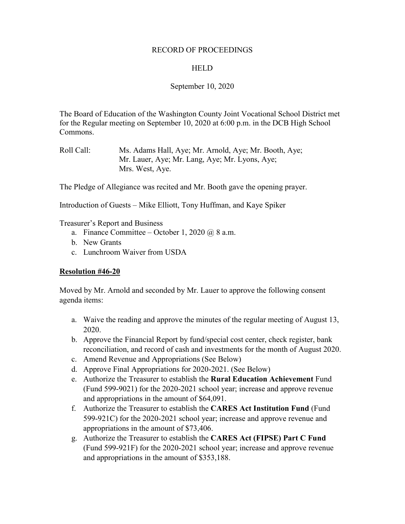## RECORD OF PROCEEDINGS

## **HELD**

# September 10, 2020

The Board of Education of the Washington County Joint Vocational School District met for the Regular meeting on September 10, 2020 at 6:00 p.m. in the DCB High School Commons.

The Pledge of Allegiance was recited and Mr. Booth gave the opening prayer.

Introduction of Guests – Mike Elliott, Tony Huffman, and Kaye Spiker

Treasurer's Report and Business

- a. Finance Committee October 1, 2020 @ 8 a.m.
- b. New Grants
- c. Lunchroom Waiver from USDA

## **Resolution #46-20**

Moved by Mr. Arnold and seconded by Mr. Lauer to approve the following consent agenda items:

- a. Waive the reading and approve the minutes of the regular meeting of August 13, 2020.
- b. Approve the Financial Report by fund/special cost center, check register, bank reconciliation, and record of cash and investments for the month of August 2020.
- c. Amend Revenue and Appropriations (See Below)
- d. Approve Final Appropriations for 2020-2021. (See Below)
- e. Authorize the Treasurer to establish the **Rural Education Achievement** Fund (Fund 599-9021) for the 2020-2021 school year; increase and approve revenue and appropriations in the amount of \$64,091.
- f. Authorize the Treasurer to establish the **CARES Act Institution Fund** (Fund 599-921C) for the 2020-2021 school year; increase and approve revenue and appropriations in the amount of \$73,406.
- g. Authorize the Treasurer to establish the **CARES Act (FIPSE) Part C Fund**  (Fund 599-921F) for the 2020-2021 school year; increase and approve revenue and appropriations in the amount of \$353,188.

Roll Call: Ms. Adams Hall, Aye; Mr. Arnold, Aye; Mr. Booth, Aye; Mr. Lauer, Aye; Mr. Lang, Aye; Mr. Lyons, Aye; Mrs. West, Aye.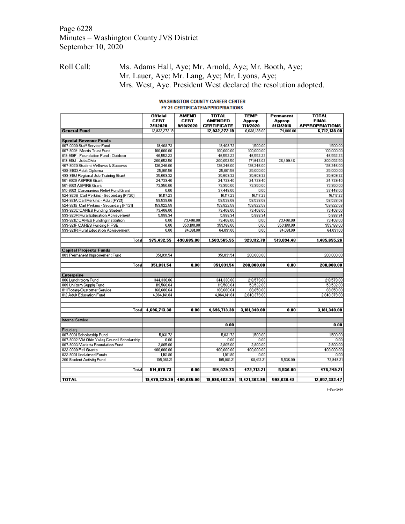# Page 6228 Minutes – Washington County JVS District September 10, 2020

# Roll Call: Ms. Adams Hall, Aye; Mr. Arnold, Aye; Mr. Booth, Aye; Mr. Lauer, Aye; Mr. Lang, Aye; Mr. Lyons, Aye; Mrs. West, Aye. President West declared the resolution adopted.

#### **WASHINGTON COUNTY CAREER CENTER** FY 21 CERTIFICATE/APPROPRIATIONS

|                                              | <b>Official</b><br><b>CERT</b> | <b>AMEND</b><br><b>CERT</b> | <b>TOTAL</b><br><b>AMENDED</b> | <b>TEMP</b><br>Approp | Permanent<br>Approp | <b>TOTAL</b><br><b>FINAL</b> |
|----------------------------------------------|--------------------------------|-----------------------------|--------------------------------|-----------------------|---------------------|------------------------------|
|                                              | 7/1/2020                       | 9/10/2020                   | <b>CERTIFICATE</b>             | 7/1/2020              | 9/13/2018           | <b>APPROPRIATIONS</b>        |
| <b>General Fund</b>                          | 12,932,272.19                  |                             | 12,932,272.19                  | 6.638.138.00          | 74,000.00           | 6,712,138.00                 |
|                                              |                                |                             |                                |                       |                     |                              |
| <b>Special Revenue Funds</b>                 |                                |                             |                                |                       |                     |                              |
| 007-0000 Staff Service Fund                  | 19,408.73                      |                             | 19,408.73                      | 1,500.00              |                     | 1,500.00                     |
| 007-9004 Morris Trust Fund                   | 100,000.00                     |                             | 100,000.00                     | 100,000.00            |                     | 100,000.00                   |
| 019-919F - Foundation Fund - Outdoor         | 46,552.23                      |                             | 46,552.23                      | 46,552.23             |                     | 46,552.23                    |
| 019-919J - JobsOhio                          | 200,052.50                     |                             | 200,052.50                     | 171,643.02            | 28,409.48           | 200,052.50                   |
| 467-9020 Student Wellness & Success          | 136,346.00                     |                             | 136,346.00                     | 136,346.00            |                     | 136,346.00                   |
| 499-916D Adult Diploma                       | 25,001.56                      |                             | 25,001.56                      | 25,000.00             |                     | 25,000.00                    |
| 499-919J Regional Job Training Grant         | 35,609.32                      |                             | 35,609.32                      | 35,609.32             |                     | 35,609.32                    |
| 501-9020 ASPIRE Grant                        | 24,739.40                      |                             | 24,739.40                      | 24,739.40             |                     | 24,739.40                    |
| 501-9021 ASPIRE Grant                        | 73,950.00                      |                             | 73,950.00                      | 73,950.00             |                     | 73,950.00                    |
| 510-9021 Coronavirus Relief Fund Grant       | 0.00                           |                             | 37,448.00                      | 0.00                  |                     | 37,448.00                    |
| 524-920S Carl Perkins - Secondary (FY20)     | 16,117.23                      |                             | 16,117.23                      | 16,117.23             |                     | 16,117.23                    |
| 524-921A Carl Perkins - Adult (FY21)         | 58,538.06                      |                             | 58,538.06                      | 58,538.06             |                     | 58,538.06                    |
| 524-921S Carl Perkins - Secondary (FY21)     | 159,822.58                     |                             | 159,822.58                     | 159,822.58            |                     | 159,822.58                   |
| 599-920C CARES Funding Student               | 73,406.00                      |                             | 73,406.00                      | 73,406.00             |                     | 73,406.00                    |
| 599-920R Rural Education Achievement         | 5,888.94                       |                             | 5,888.94                       | 5,888.94              |                     | 5,888.94                     |
| 599-921C CARES Funding Institution           | 0.00                           | 73,406.00                   | 73,406.00                      | 0.00                  | 73,406.00           | 73,406.00                    |
| 599-921F CARES Funding FIPSE                 | 0.00                           | 353,188.00                  | 353,188.00                     | 0.00                  | 353,188.00          | 353,188.00                   |
| 599-921R Rural Education Achievement         | 0.00                           | 64,091.00                   | 64,091.00                      | 0.00                  | 64,091.00           | 64.091.00                    |
|                                              |                                |                             |                                |                       |                     |                              |
| Total                                        | 975, 432.55                    | 490,685.00                  | 1,503,565.55                   | 929,112.78            | 519,094.48          | 1,485,655.26                 |
|                                              |                                |                             |                                |                       |                     |                              |
| <b>Capital Projects Funds</b>                | 351,831.54                     |                             | 351,831.54                     | 200,000.00            |                     | 200,000.00                   |
| 003 Permanent Improvement Fund               |                                |                             |                                |                       |                     |                              |
| Total                                        | 351,831.54                     | 0.00                        | 351,831.54                     | 200.000.00            | 0.00                | 200.000.00                   |
|                                              |                                |                             |                                |                       |                     |                              |
| <b>Enterprise</b>                            |                                |                             |                                |                       |                     |                              |
| 006 Lunchroom Fund                           | 344,330.86                     |                             | 344,330.86                     | 218,579.00            |                     | 218,579.00                   |
| 009 Uniform Supply Fund                      | 119,560.04                     |                             | 119,560.04                     | 53,532.00             |                     | 53,532.00                    |
| 011 Rotary-Customer Service                  | 168,680.64                     |                             | 168,680.64                     | 68,850.00             |                     | 68,850.00                    |
| 012 Adult Education Fund                     | 4,064,141.84                   |                             | 4,064,141.84                   | 2,840,379.00          |                     | 2,840,379.00                 |
|                                              |                                |                             |                                |                       |                     |                              |
|                                              |                                |                             |                                |                       |                     |                              |
| Total                                        | 4,696,713.38                   | 0.00                        | 4.696.713.38                   | 3.181.340.00          | 0.00                | 3,181,340.00                 |
|                                              |                                |                             |                                |                       |                     |                              |
| <b>Internal Service</b>                      |                                |                             |                                |                       |                     |                              |
|                                              |                                |                             | 0.00                           |                       |                     | 0.00                         |
| Fiduciary                                    |                                |                             |                                |                       |                     |                              |
| 007-9001 Scholarship Fund                    | 5,031.72                       |                             | 5,031.72                       | 1,500.00              |                     | 1,500.00                     |
| 007-9002 Mid Ohio Valley Council Scholarship | 0.00                           |                             | 0.00                           | 0.00                  |                     | 0.00                         |
| 007-9003 Marietta Foundation Fund            | 2,805.00                       |                             | 2,805.00                       | 2,800.00              |                     | 2,800.00                     |
| 022-0000 Pell Grants                         | 400,000.00                     |                             | 400,000.00                     | 400,000.00            |                     | 400,000.00                   |
| 022-9001 Unclaimed Funds                     | 1,161.80                       |                             | 1,161.80                       | 0.00                  |                     | 0.00                         |
| 200 Student Activity Fund                    | 105,081.21                     |                             | 105,081.21                     | 68,413.21             | 5,536.00            | 73,949.21                    |
|                                              |                                |                             |                                |                       |                     |                              |
| Total                                        | 514,079.73                     | 0.00                        | 514,079.73                     | 472,713.21            | 5,536.00            | 478,249.21                   |
|                                              |                                |                             |                                |                       |                     |                              |
| <b>TOTAL</b>                                 | 19,470,329.39                  | 490,685.00                  | 19,998,462.39                  | 11,421,303.99         | 598,630.48          | 12,057,382.47                |

 $8-5e$ p-2020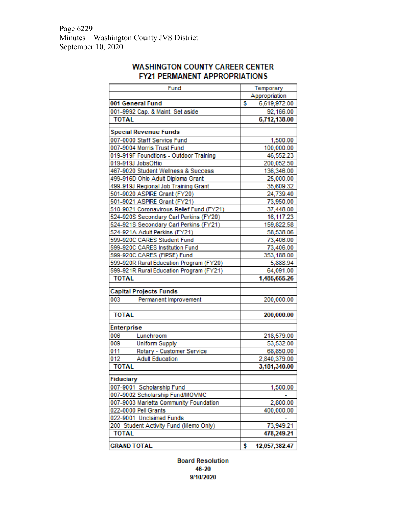Page 6229 Minutes – Washington County JVS District September 10, 2020

# **WASHINGTON COUNTY CAREER CENTER FY21 PERMANENT APPROPRIATIONS**

|              | Fund                                     |    | Temporary     |
|--------------|------------------------------------------|----|---------------|
|              |                                          |    | Appropriation |
|              | 001 General Fund                         | s  | 6,619,972.00  |
|              | 001-9992 Cap. & Maint. Set aside         |    | 92,166.00     |
| <b>TOTAL</b> |                                          |    | 6,712,138.00  |
|              | <b>Special Revenue Funds</b>             |    |               |
|              | 007-0000 Staff Service Fund              |    | 1,500.00      |
|              | 007-9004 Morris Trust Fund               |    | 100,000.00    |
|              | 019-919F Foundtions - Outdoor Training   |    | 46,552.23     |
|              | 019-919J JobsOHio                        |    | 200,052.50    |
|              | 467-9020 Student Wellness & Success      |    | 136,346.00    |
|              | 499-916D Ohio Adult Diploma Grant        |    | 25,000.00     |
|              | 499-919J Regional Job Training Grant     |    | 35,609.32     |
|              | 501-9020 ASPIRE Grant (FY20)             |    | 24,739.40     |
|              | 501-9021 ASPIRE Grant (FY21)             |    | 73,950.00     |
|              | 510-9021 Coronavirous Relief Fund (FY21) |    | 37,448.00     |
|              | 524-920S Secondary Carl Perkins (FY20)   |    | 16,117.23     |
|              | 524-921S Secondary Carl Perkins (FY21)   |    | 159,822.58    |
|              | 524-921A Adult Perkins (FY21)            |    | 58,538.06     |
|              | 599-920C CARES Student Fund              |    | 73,406.00     |
|              | 599-920C CARES Institution Fund          |    | 73,406.00     |
|              | 599-920C CARES (FIPSE) Fund              |    | 353,188.00    |
|              | 599-920R Rural Education Program (FY20)  |    | 5,888.94      |
|              | 599-921R Rural Education Program (FY21)  |    | 64,091.00     |
| <b>TOTAL</b> |                                          |    | 1,485,655.26  |
|              | <b>Capital Projects Funds</b>            |    |               |
| 003          | Permanent Improvement                    |    | 200,000.00    |
|              |                                          |    |               |
| <b>TOTAL</b> |                                          |    | 200,000.00    |
| Enterprise   |                                          |    |               |
| 006          | Lunchroom                                |    | 218,579.00    |
| 009          | <b>Uniform Supply</b>                    |    | 53,532.00     |
| 011          | Rotary - Customer Service                |    | 68,850.00     |
| 012          | <b>Adult Education</b>                   |    | 2,840,379.00  |
| <b>TOTAL</b> |                                          |    | 3,181,340.00  |
| Fiduciary    |                                          |    |               |
|              | 007-9001 Scholarship Fund                |    | 1,500.00      |
|              | 007-9002 Scholarship Fund/MOVMC          |    |               |
|              | 007-9003 Marietta Community Foundation   |    | 2,800.00      |
|              | 022-0000 Pell Grants                     |    | 400,000.00    |
|              | 022-9001 Unclaimed Funds                 |    |               |
|              | 200 Student Activity Fund (Memo Only)    |    | 73,949.21     |
| <b>TOTAL</b> |                                          |    | 478,249.21    |
|              | <b>GRAND TOTAL</b>                       | \$ | 12,057,382.47 |

**Board Resolution** 46-20 9/10/2020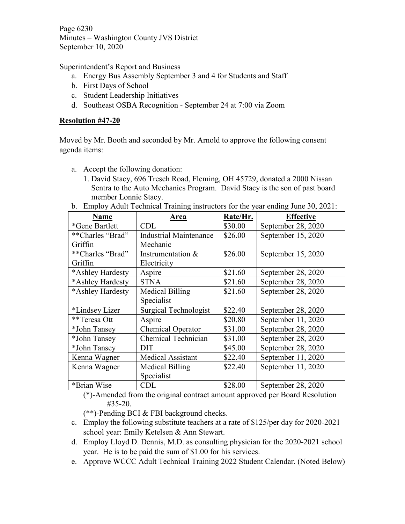Page 6230 Minutes – Washington County JVS District September 10, 2020

Superintendent's Report and Business

- a. Energy Bus Assembly September 3 and 4 for Students and Staff
- b. First Days of School
- c. Student Leadership Initiatives
- d. Southeast OSBA Recognition September 24 at 7:00 via Zoom

# **Resolution #47-20**

Moved by Mr. Booth and seconded by Mr. Arnold to approve the following consent agenda items:

- a. Accept the following donation:
	- 1. David Stacy, 696 Tresch Road, Fleming, OH 45729, donated a 2000 Nissan Sentra to the Auto Mechanics Program. David Stacy is the son of past board member Lonnie Stacy.
- b. Employ Adult Technical Training instructors for the year ending June 30, 2021:

| <b>Name</b>      | Area                          | Rate/Hr. | <b>Effective</b>   |
|------------------|-------------------------------|----------|--------------------|
| *Gene Bartlett   | <b>CDL</b>                    | \$30.00  | September 28, 2020 |
| **Charles "Brad" | <b>Industrial Maintenance</b> | \$26.00  | September 15, 2020 |
| Griffin          | Mechanic                      |          |                    |
| **Charles "Brad" | Instrumentation $&$           | \$26.00  | September 15, 2020 |
| Griffin          | Electricity                   |          |                    |
| *Ashley Hardesty | Aspire                        | \$21.60  | September 28, 2020 |
| *Ashley Hardesty | <b>STNA</b>                   | \$21.60  | September 28, 2020 |
| *Ashley Hardesty | Medical Billing               | \$21.60  | September 28, 2020 |
|                  | Specialist                    |          |                    |
| *Lindsey Lizer   | <b>Surgical Technologist</b>  | \$22.40  | September 28, 2020 |
| **Teresa Ott     | Aspire                        | \$20.80  | September 11, 2020 |
| *John Tansey     | Chemical Operator             | \$31.00  | September 28, 2020 |
| *John Tansey     | Chemical Technician           | \$31.00  | September 28, 2020 |
| *John Tansey     | <b>DIT</b>                    | \$45.00  | September 28, 2020 |
| Kenna Wagner     | <b>Medical Assistant</b>      | \$22.40  | September 11, 2020 |
| Kenna Wagner     | Medical Billing               | \$22.40  | September 11, 2020 |
|                  | Specialist                    |          |                    |
| *Brian Wise      | CDL                           | \$28.00  | September 28, 2020 |

(\*)-Amended from the original contract amount approved per Board Resolution #35-20.

(\*\*)-Pending BCI & FBI background checks.

- c. Employ the following substitute teachers at a rate of \$125/per day for 2020-2021 school year: Emily Ketelsen & Ann Stewart.
- d. Employ Lloyd D. Dennis, M.D. as consulting physician for the 2020-2021 school year. He is to be paid the sum of \$1.00 for his services.
- e. Approve WCCC Adult Technical Training 2022 Student Calendar. (Noted Below)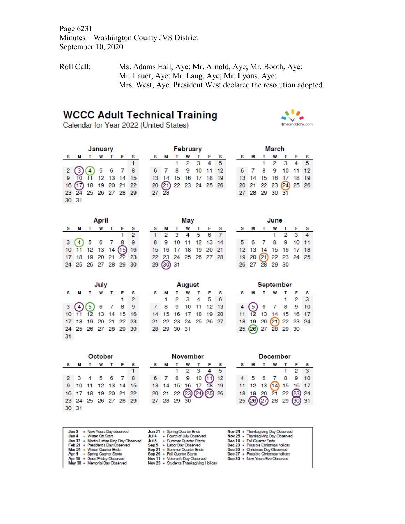Page 6231 Minutes – Washington County JVS District September 10, 2020

Roll Call: Ms. Adams Hall, Aye; Mr. Arnold, Aye; Mr. Booth, Aye; Mr. Lauer, Aye; Mr. Lang, Aye; Mr. Lyons, Aye; Mrs. West, Aye. President West declared the resolution adopted.

# **WCCC Adult Technical Training**

Calendar for Year 2022 (United States)



| January |                                              |              |  |  |  |  |  |  |  |
|---------|----------------------------------------------|--------------|--|--|--|--|--|--|--|
|         |                                              | T W T F<br>м |  |  |  |  |  |  |  |
|         |                                              |              |  |  |  |  |  |  |  |
|         | $2\bigodot 4$ 5 6 7 8<br>9 10 11 12 13 14 15 |              |  |  |  |  |  |  |  |
|         |                                              |              |  |  |  |  |  |  |  |
|         | 16 (17) 18 19 20 21 22                       |              |  |  |  |  |  |  |  |
|         | 23 24 25 26 27 28 29                         |              |  |  |  |  |  |  |  |
| 30 31   |                                              |              |  |  |  |  |  |  |  |

|   | February             |  |   |                     |     | March |  |   |                |  |   |                      |     |     |
|---|----------------------|--|---|---------------------|-----|-------|--|---|----------------|--|---|----------------------|-----|-----|
| s | м                    |  | W |                     | ∴ F | - s   |  | s | м              |  | W | $\mathbf{T}$         | - F | - s |
|   |                      |  |   | $1 \t2 \t3 \t4 \t5$ |     |       |  |   |                |  |   | 1 2 3 4 5            |     |     |
|   | 6 7 8 9 10 11 12     |  |   |                     |     |       |  |   |                |  |   | 6 7 8 9 10 11 12     |     |     |
|   | 13 14 15 16 17 18 19 |  |   |                     |     |       |  |   |                |  |   | 13 14 15 16 17 18 19 |     |     |
|   | 20 21 22 23 24 25 26 |  |   |                     |     |       |  |   |                |  |   | 20 21 22 23 24 25 26 |     |     |
|   |                      |  |   |                     |     |       |  |   | 27 28 29 30 31 |  |   |                      |     |     |

| April    |              |       |  |              |                        |     |  |  |  |
|----------|--------------|-------|--|--------------|------------------------|-----|--|--|--|
| <b>S</b> |              | M T W |  | $\mathbf{T}$ | - F                    | s   |  |  |  |
|          |              |       |  |              |                        | 2   |  |  |  |
|          | 3(4) 5 6 7 8 |       |  |              |                        | - 9 |  |  |  |
|          |              |       |  |              | 10 11 12 13 14 (15) 16 |     |  |  |  |
|          |              |       |  |              | 17 18 19 20 21 22 23   |     |  |  |  |
|          |              |       |  |              | 24 25 26 27 28 29 30   |     |  |  |  |

| Mav |                      |  |  |                  |  |     |  |  |  |
|-----|----------------------|--|--|------------------|--|-----|--|--|--|
| s   |                      |  |  | MTWTF            |  | - S |  |  |  |
| 1.  |                      |  |  | 2 3 4 5 6        |  |     |  |  |  |
| 8   |                      |  |  | 9 10 11 12 13 14 |  |     |  |  |  |
|     | 15 16 17 18 19 20 21 |  |  |                  |  |     |  |  |  |
|     | 22 23 24 25 26 27 28 |  |  |                  |  |     |  |  |  |
|     | 29.60331             |  |  |                  |  |     |  |  |  |

| June |   |                      |  |             |       |   |  |  |  |
|------|---|----------------------|--|-------------|-------|---|--|--|--|
|      | M | $\mathbf{T}$         |  |             | W T F | S |  |  |  |
|      |   |                      |  | $1 \t2 \t3$ |       |   |  |  |  |
| 5.   |   | 6 7 8 9 10 11        |  |             |       |   |  |  |  |
|      |   | 12 13 14 15 16 17 18 |  |             |       |   |  |  |  |
|      |   | 19 20 21 22 23 24 25 |  |             |       |   |  |  |  |
|      |   | 26 27 28 29 30       |  |             |       |   |  |  |  |

| July |  |                               |  |  |  |   |  |  |  |
|------|--|-------------------------------|--|--|--|---|--|--|--|
| S.   |  | <b>MTWTFS</b>                 |  |  |  |   |  |  |  |
|      |  |                               |  |  |  | 2 |  |  |  |
|      |  | $3\left(4\right)$ (5) 6 7 8 9 |  |  |  |   |  |  |  |
|      |  | 10 11 12 13 14 15 16          |  |  |  |   |  |  |  |
|      |  | 17 18 19 20 21 22 23          |  |  |  |   |  |  |  |
|      |  | 24 25 26 27 28 29 30          |  |  |  |   |  |  |  |
| 31   |  |                               |  |  |  |   |  |  |  |

| August      |  |                      |  |  |  |  |  |  |  |  |
|-------------|--|----------------------|--|--|--|--|--|--|--|--|
| s           |  | <b>MTWTFS</b>        |  |  |  |  |  |  |  |  |
|             |  | 1 2 3 4 5 6          |  |  |  |  |  |  |  |  |
| $7^{\circ}$ |  | 8 9 10 11 12 13      |  |  |  |  |  |  |  |  |
|             |  | 14 15 16 17 18 19 20 |  |  |  |  |  |  |  |  |
|             |  | 21 22 23 24 25 26 27 |  |  |  |  |  |  |  |  |
|             |  | 28 29 30 31          |  |  |  |  |  |  |  |  |

| September |                      |              |     |  |    |   |  |  |  |  |
|-----------|----------------------|--------------|-----|--|----|---|--|--|--|--|
| s         | м                    | $\mathbf{T}$ | W T |  |    |   |  |  |  |  |
|           |                      |              |     |  | 12 | 3 |  |  |  |  |
|           | 4(5)678910           |              |     |  |    |   |  |  |  |  |
|           | 11 12 13 14 15 16 17 |              |     |  |    |   |  |  |  |  |
|           | 18 19 20 21 22 23 24 |              |     |  |    |   |  |  |  |  |
|           | 25 (26) 27 28 29 30  |              |     |  |    |   |  |  |  |  |

| October              |  |  |  |                      |  |   |  |  |  |  |
|----------------------|--|--|--|----------------------|--|---|--|--|--|--|
|                      |  |  |  | SMTWTF               |  | s |  |  |  |  |
|                      |  |  |  |                      |  |   |  |  |  |  |
|                      |  |  |  | 2 3 4 5 6 7 8        |  |   |  |  |  |  |
|                      |  |  |  | 9 10 11 12 13 14 15  |  |   |  |  |  |  |
|                      |  |  |  | 16 17 18 19 20 21 22 |  |   |  |  |  |  |
| 23 24 25 26 27 28 29 |  |  |  |                      |  |   |  |  |  |  |
| 30 31                |  |  |  |                      |  |   |  |  |  |  |

| November |  |  |                |  |                                     |  |  |  |  |
|----------|--|--|----------------|--|-------------------------------------|--|--|--|--|
|          |  |  | w              |  |                                     |  |  |  |  |
|          |  |  | -23            |  |                                     |  |  |  |  |
| 6.       |  |  |                |  | $8 \t 9 \t 10 \t (1) \t 12$         |  |  |  |  |
|          |  |  | 13 14 15 16 17 |  | 18 19                               |  |  |  |  |
|          |  |  |                |  | 20 21 22 23 29 25 26<br>27 28 29 30 |  |  |  |  |
|          |  |  |                |  |                                     |  |  |  |  |

| December |   |              |     |  |                        |                |  |  |
|----------|---|--------------|-----|--|------------------------|----------------|--|--|
| s.       | м | $\mathbf{T}$ | W T |  |                        | s              |  |  |
|          |   |              |     |  | 12                     | $\overline{3}$ |  |  |
|          |   |              |     |  | 5 6 7 8 9 10           |                |  |  |
|          |   |              |     |  | 11 12 13 (14) 15 16 17 |                |  |  |
|          |   |              |     |  | 18 19 20 21 22 23 24   |                |  |  |
|          |   |              |     |  | 25 26 27 28 29 30 31   |                |  |  |